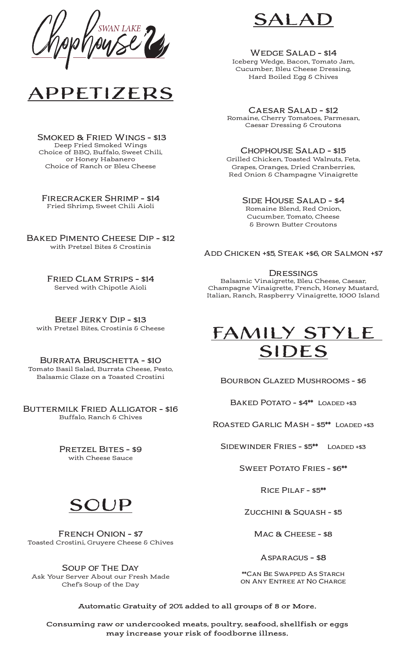

Smoked & Fried Wings - \$13 Deep Fried Smoked Wings Choice of BBQ, Buffalo, Sweet Chili, or Honey Habanero Choice of Ranch or Bleu Cheese

Firecracker Shrimp - \$14 Fried Shrimp, Sweet Chili Aioli

Baked Pimento Cheese Dip - \$12 with Pretzel Bites & Crostinis

> Fried Clam Strips - \$14 Served with Chipotle Aioli

Beef Jerky Dip - \$13 with Pretzel Bites, Crostinis & Cheese

BURRATA BRUSCHETTA - \$10 Tomato Basil Salad, Burrata Cheese, Pesto, Balsamic Glaze on a Toasted Crostini

Buttermilk Fried Alligator - \$16 Buffalo, Ranch & Chives

> PRETZEL BITES - \$9 with Cheese Sauce



French Onion - \$7 Toasted Crostini, Gruyere Cheese & Chives

Soup of The Day Ask Your Server About our Fresh Made Chef's Soup of the Day



WEDGE SALAD - \$14 Iceberg Wedge, Bacon, Tomato Jam, Cucumber, Bleu Cheese Dressing, Hard Boiled Egg & Chives

Caesar Salad - \$12 Romaine, Cherry Tomatoes, Parmesan, Caesar Dressing & Croutons

### Chophouse Salad - \$15 Grilled Chicken, Toasted Walnuts, Feta, Grapes, Oranges, Dried Cranberries, Red Onion & Champagne Vinaigrette

Side House Salad - \$4 Romaine Blend, Red Onion, Cucumber, Tomato, Cheese & Brown Butter Croutons

Add Chicken +\$5, Steak +\$6, or Salmon +\$7

### **DRESSINGS**

Balsamic Vinaigrette, Bleu Cheese, Caesar, Champagne Vinaigrette, French, Honey Mustard, Italian, Ranch, Raspberry Vinaigrette, 1000 Island



Bourbon Glazed Mushrooms - \$6

BAKED POTATO - \$4<sup>\*\*</sup> LOADED +\$3

Roasted Garlic Mash - \$5\*\* Loaded +\$3

Sidewinder Fries - \$5\*\* Loaded +\$3

Sweet Potato Fries - \$6\*\*

Rice Pilaf - \$5\*\*

Zucchini & Squash - \$5

MAC & CHEESE - \$8

Asparagus - \$8

\*\*Can Be Swapped As Starch on Any Entree at No Charge

**Automatic Gratuity of 20% added to all groups of 8 or More.**

**Consuming raw or undercooked meats, poultry, seafood, shellfish or eggs may increase your risk of foodborne illness.**